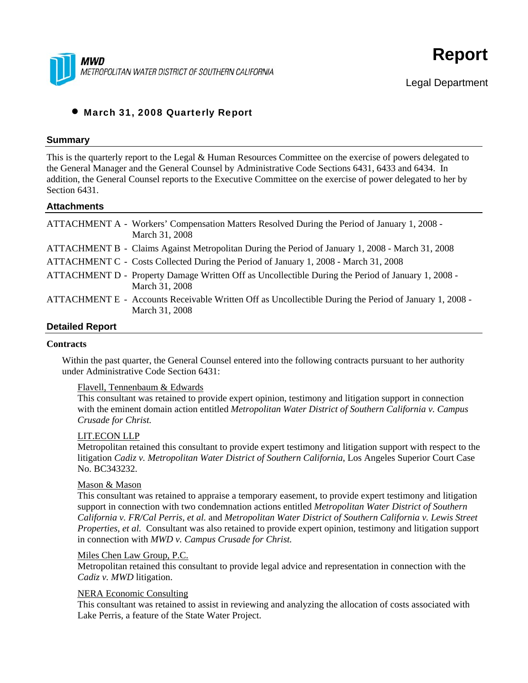



# • March 31, 2008 Quarterly Report

### **Summary**

This is the quarterly report to the Legal & Human Resources Committee on the exercise of powers delegated to the General Manager and the General Counsel by Administrative Code Sections 6431, 6433 and 6434. In addition, the General Counsel reports to the Executive Committee on the exercise of power delegated to her by Section 6431.

#### **Attachments**

| ATTACHMENT A - Workers' Compensation Matters Resolved During the Period of January 1, 2008 -<br>March 31, 2008           |
|--------------------------------------------------------------------------------------------------------------------------|
| ATTACHMENT B - Claims Against Metropolitan During the Period of January 1, 2008 - March 31, 2008                         |
| ATTACHMENT C - Costs Collected During the Period of January 1, 2008 - March 31, 2008                                     |
| ATTACHMENT D - Property Damage Written Off as Uncollectible During the Period of January 1, 2008 -<br>March 31, 2008     |
| ATTACHMENT E - Accounts Receivable Written Off as Uncollectible During the Period of January 1, 2008 -<br>March 31, 2008 |
|                                                                                                                          |

#### **Detailed Report**

#### **Contracts**

Within the past quarter, the General Counsel entered into the following contracts pursuant to her authority under Administrative Code Section 6431:

#### Flavell, Tennenbaum & Edwards

This consultant was retained to provide expert opinion, testimony and litigation support in connection with the eminent domain action entitled *Metropolitan Water District of Southern California v. Campus Crusade for Christ.*

#### LIT.ECON LLP

Metropolitan retained this consultant to provide expert testimony and litigation support with respect to the litigation *Cadiz v. Metropolitan Water District of Southern California*, Los Angeles Superior Court Case No. BC343232.

#### Mason & Mason

This consultant was retained to appraise a temporary easement, to provide expert testimony and litigation support in connection with two condemnation actions entitled *Metropolitan Water District of Southern California v. FR/Cal Perris, et al.* and *Metropolitan Water District of Southern California v. Lewis Street Properties, et al.* Consultant was also retained to provide expert opinion, testimony and litigation support in connection with *MWD v. Campus Crusade for Christ.*

#### Miles Chen Law Group, P.C.

Metropolitan retained this consultant to provide legal advice and representation in connection with the *Cadiz v. MWD* litigation.

### NERA Economic Consulting

This consultant was retained to assist in reviewing and analyzing the allocation of costs associated with Lake Perris, a feature of the State Water Project.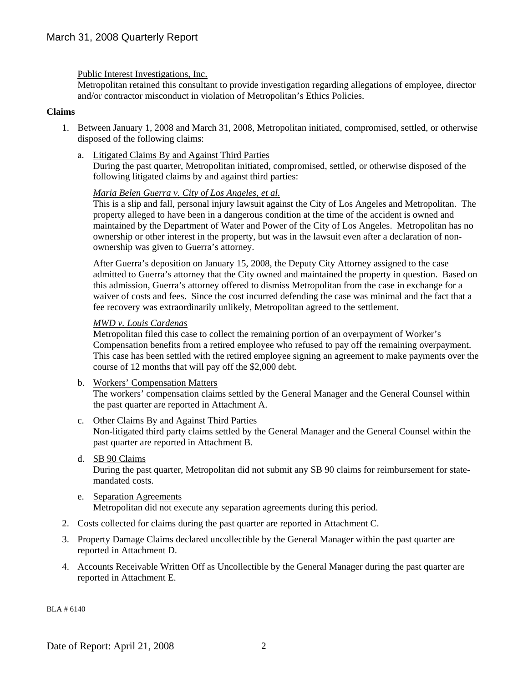Public Interest Investigations, Inc.

Metropolitan retained this consultant to provide investigation regarding allegations of employee, director and/or contractor misconduct in violation of Metropolitan's Ethics Policies.

### **Claims**

- 1. Between January 1, 2008 and March 31, 2008, Metropolitan initiated, compromised, settled, or otherwise disposed of the following claims:
	- a. Litigated Claims By and Against Third Parties During the past quarter, Metropolitan initiated, compromised, settled, or otherwise disposed of the following litigated claims by and against third parties:

### *Maria Belen Guerra v. City of Los Angeles, et al.*

This is a slip and fall, personal injury lawsuit against the City of Los Angeles and Metropolitan. The property alleged to have been in a dangerous condition at the time of the accident is owned and maintained by the Department of Water and Power of the City of Los Angeles. Metropolitan has no ownership or other interest in the property, but was in the lawsuit even after a declaration of nonownership was given to Guerra's attorney.

After Guerra's deposition on January 15, 2008, the Deputy City Attorney assigned to the case admitted to Guerra's attorney that the City owned and maintained the property in question. Based on this admission, Guerra's attorney offered to dismiss Metropolitan from the case in exchange for a waiver of costs and fees. Since the cost incurred defending the case was minimal and the fact that a fee recovery was extraordinarily unlikely, Metropolitan agreed to the settlement.

### *MWD v. Louis Cardenas*

Metropolitan filed this case to collect the remaining portion of an overpayment of Worker's Compensation benefits from a retired employee who refused to pay off the remaining overpayment. This case has been settled with the retired employee signing an agreement to make payments over the course of 12 months that will pay off the \$2,000 debt.

- b. Workers' Compensation Matters The workers' compensation claims settled by the General Manager and the General Counsel within the past quarter are reported in Attachment A.
- c. Other Claims By and Against Third Parties Non-litigated third party claims settled by the General Manager and the General Counsel within the past quarter are reported in Attachment B.
- d. SB 90 Claims

During the past quarter, Metropolitan did not submit any SB 90 claims for reimbursement for statemandated costs.

- e. Separation Agreements Metropolitan did not execute any separation agreements during this period.
- 2. Costs collected for claims during the past quarter are reported in Attachment C.
- 3. Property Damage Claims declared uncollectible by the General Manager within the past quarter are reported in Attachment D.
- 4. Accounts Receivable Written Off as Uncollectible by the General Manager during the past quarter are reported in Attachment E.

BLA # 6140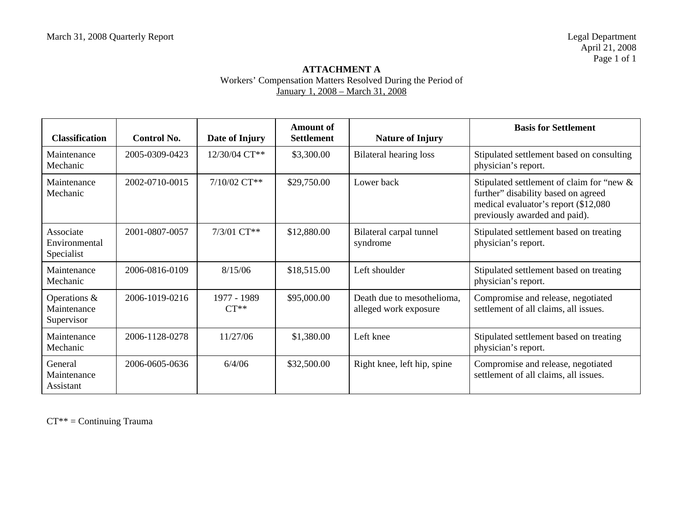# **ATTACHMENT A**  Workers' Compensation Matters Resolved During the Period of January 1, 2008 – March 31, 2008

| <b>Classification</b>                     | Control No.    | Date of Injury        | <b>Amount of</b><br><b>Settlement</b> | <b>Nature of Injury</b>                             | <b>Basis for Settlement</b>                                                                                                                               |
|-------------------------------------------|----------------|-----------------------|---------------------------------------|-----------------------------------------------------|-----------------------------------------------------------------------------------------------------------------------------------------------------------|
| Maintenance<br>Mechanic                   | 2005-0309-0423 | $12/30/04$ CT**       | \$3,300.00                            | Bilateral hearing loss                              | Stipulated settlement based on consulting<br>physician's report.                                                                                          |
| Maintenance<br>Mechanic                   | 2002-0710-0015 | $7/10/02$ CT**        | \$29,750.00                           | Lower back                                          | Stipulated settlement of claim for "new &<br>further" disability based on agreed<br>medical evaluator's report (\$12,080<br>previously awarded and paid). |
| Associate<br>Environmental<br>Specialist  | 2001-0807-0057 | $7/3/01$ CT**         | \$12,880.00                           | Bilateral carpal tunnel<br>syndrome                 | Stipulated settlement based on treating<br>physician's report.                                                                                            |
| Maintenance<br>Mechanic                   | 2006-0816-0109 | 8/15/06               | \$18,515.00                           | Left shoulder                                       | Stipulated settlement based on treating<br>physician's report.                                                                                            |
| Operations &<br>Maintenance<br>Supervisor | 2006-1019-0216 | 1977 - 1989<br>$CT**$ | \$95,000.00                           | Death due to mesothelioma,<br>alleged work exposure | Compromise and release, negotiated<br>settlement of all claims, all issues.                                                                               |
| Maintenance<br>Mechanic                   | 2006-1128-0278 | 11/27/06              | \$1,380.00                            | Left knee                                           | Stipulated settlement based on treating<br>physician's report.                                                                                            |
| General<br>Maintenance<br>Assistant       | 2006-0605-0636 | 6/4/06                | \$32,500.00                           | Right knee, left hip, spine                         | Compromise and release, negotiated<br>settlement of all claims, all issues.                                                                               |

CT\*\* = Continuing Trauma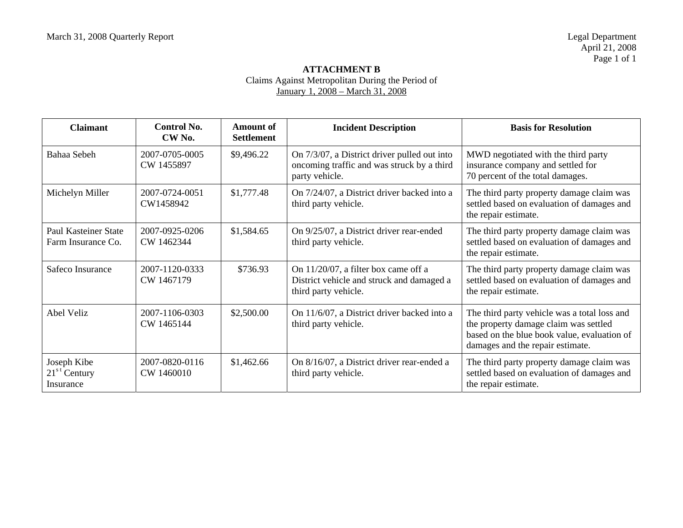### **ATTACHMENT B**  Claims Against Metropolitan During the Period of January 1, 2008 – March 31, 2008

| <b>Claimant</b>                            | Control No.<br>CW <sub>No.</sub> | Amount of<br><b>Settlement</b> | <b>Incident Description</b>                                                                                  | <b>Basis for Resolution</b>                                                                                                                                              |
|--------------------------------------------|----------------------------------|--------------------------------|--------------------------------------------------------------------------------------------------------------|--------------------------------------------------------------------------------------------------------------------------------------------------------------------------|
| Bahaa Sebeh                                | 2007-0705-0005<br>CW 1455897     | \$9,496.22                     | On 7/3/07, a District driver pulled out into<br>oncoming traffic and was struck by a third<br>party vehicle. | MWD negotiated with the third party<br>insurance company and settled for<br>70 percent of the total damages.                                                             |
| Michelyn Miller                            | 2007-0724-0051<br>CW1458942      | \$1,777.48                     | On 7/24/07, a District driver backed into a<br>third party vehicle.                                          | The third party property damage claim was<br>settled based on evaluation of damages and<br>the repair estimate.                                                          |
| Paul Kasteiner State<br>Farm Insurance Co. | 2007-0925-0206<br>CW 1462344     | \$1,584.65                     | On 9/25/07, a District driver rear-ended<br>third party vehicle.                                             | The third party property damage claim was<br>settled based on evaluation of damages and<br>the repair estimate.                                                          |
| Safeco Insurance                           | 2007-1120-0333<br>CW 1467179     | \$736.93                       | On 11/20/07, a filter box came off a<br>District vehicle and struck and damaged a<br>third party vehicle.    | The third party property damage claim was<br>settled based on evaluation of damages and<br>the repair estimate.                                                          |
| Abel Veliz                                 | 2007-1106-0303<br>CW 1465144     | \$2,500.00                     | On 11/6/07, a District driver backed into a<br>third party vehicle.                                          | The third party vehicle was a total loss and<br>the property damage claim was settled<br>based on the blue book value, evaluation of<br>damages and the repair estimate. |
| Joseph Kibe<br>$21st$ Century<br>Insurance | 2007-0820-0116<br>CW 1460010     | \$1,462.66                     | On 8/16/07, a District driver rear-ended a<br>third party vehicle.                                           | The third party property damage claim was<br>settled based on evaluation of damages and<br>the repair estimate.                                                          |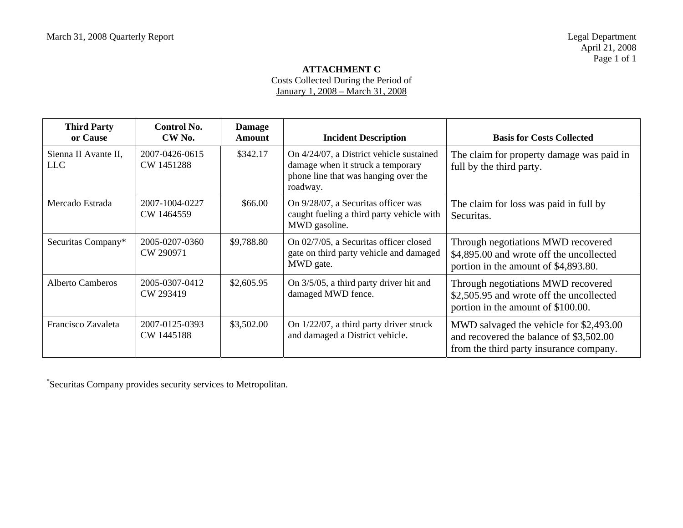### **ATTACHMENT C**  Costs Collected During the Period of

January 1, 2008 – March 31, 2008

| <b>Third Party</b><br>or Cause | Control No.<br>CW <sub>No.</sub> | <b>Damage</b><br>Amount | <b>Incident Description</b>                                                                                                       | <b>Basis for Costs Collected</b>                                                                                              |
|--------------------------------|----------------------------------|-------------------------|-----------------------------------------------------------------------------------------------------------------------------------|-------------------------------------------------------------------------------------------------------------------------------|
| Sienna II Avante II,<br>LLC    | 2007-0426-0615<br>CW 1451288     | \$342.17                | On 4/24/07, a District vehicle sustained<br>damage when it struck a temporary<br>phone line that was hanging over the<br>roadway. | The claim for property damage was paid in<br>full by the third party.                                                         |
| Mercado Estrada                | 2007-1004-0227<br>CW 1464559     | \$66.00                 | On 9/28/07, a Securitas officer was<br>caught fueling a third party vehicle with<br>MWD gasoline.                                 | The claim for loss was paid in full by<br>Securitas.                                                                          |
| Securitas Company*             | 2005-0207-0360<br>CW 290971      | \$9,788.80              | On 02/7/05, a Securitas officer closed<br>gate on third party vehicle and damaged<br>MWD gate.                                    | Through negotiations MWD recovered<br>\$4,895.00 and wrote off the uncollected<br>portion in the amount of \$4,893.80.        |
| Alberto Camberos               | 2005-0307-0412<br>CW 293419      | \$2,605.95              | On 3/5/05, a third party driver hit and<br>damaged MWD fence.                                                                     | Through negotiations MWD recovered<br>\$2,505.95 and wrote off the uncollected<br>portion in the amount of \$100.00.          |
| Francisco Zavaleta             | 2007-0125-0393<br>CW 1445188     | \$3,502.00              | On $1/22/07$ , a third party driver struck<br>and damaged a District vehicle.                                                     | MWD salvaged the vehicle for \$2,493.00<br>and recovered the balance of \$3,502.00<br>from the third party insurance company. |

**\***Securitas Company provides security services to Metropolitan.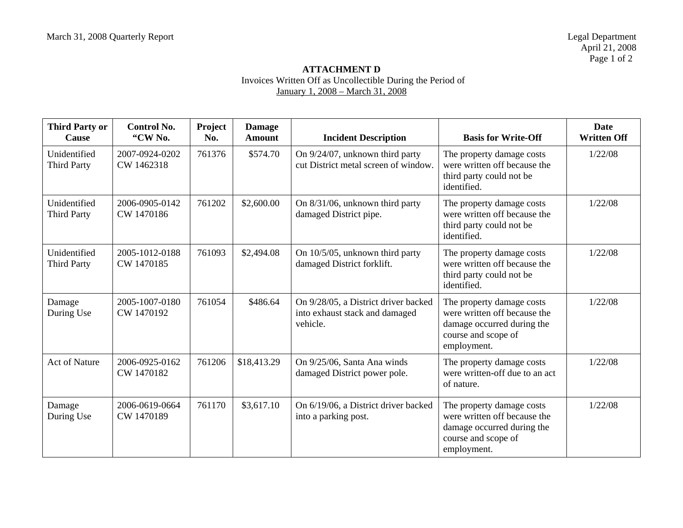# **ATTACHMENT D**  Invoices Written Off as Uncollectible During the Period of January 1, 2008 – March 31, 2008

| <b>Third Party or</b><br>Cause     | <b>Control No.</b><br>"CW No. | Project<br>No. | <b>Damage</b><br><b>Amount</b> | <b>Incident Description</b>                                                        | <b>Basis for Write-Off</b>                                                                                                    | <b>Date</b><br><b>Written Off</b> |
|------------------------------------|-------------------------------|----------------|--------------------------------|------------------------------------------------------------------------------------|-------------------------------------------------------------------------------------------------------------------------------|-----------------------------------|
| Unidentified<br><b>Third Party</b> | 2007-0924-0202<br>CW 1462318  | 761376         | \$574.70                       | On 9/24/07, unknown third party<br>cut District metal screen of window.            | The property damage costs<br>were written off because the<br>third party could not be<br>identified.                          | 1/22/08                           |
| Unidentified<br><b>Third Party</b> | 2006-0905-0142<br>CW 1470186  | 761202         | \$2,600.00                     | On 8/31/06, unknown third party<br>damaged District pipe.                          | The property damage costs<br>were written off because the<br>third party could not be<br>identified.                          | 1/22/08                           |
| Unidentified<br><b>Third Party</b> | 2005-1012-0188<br>CW 1470185  | 761093         | \$2,494.08                     | On 10/5/05, unknown third party<br>damaged District forklift.                      | The property damage costs<br>were written off because the<br>third party could not be<br>identified.                          | 1/22/08                           |
| Damage<br>During Use               | 2005-1007-0180<br>CW 1470192  | 761054         | \$486.64                       | On 9/28/05, a District driver backed<br>into exhaust stack and damaged<br>vehicle. | The property damage costs<br>were written off because the<br>damage occurred during the<br>course and scope of<br>employment. | 1/22/08                           |
| <b>Act of Nature</b>               | 2006-0925-0162<br>CW 1470182  | 761206         | \$18,413.29                    | On 9/25/06, Santa Ana winds<br>damaged District power pole.                        | The property damage costs<br>were written-off due to an act<br>of nature.                                                     | 1/22/08                           |
| Damage<br>During Use               | 2006-0619-0664<br>CW 1470189  | 761170         | \$3,617.10                     | On 6/19/06, a District driver backed<br>into a parking post.                       | The property damage costs<br>were written off because the<br>damage occurred during the<br>course and scope of<br>employment. | 1/22/08                           |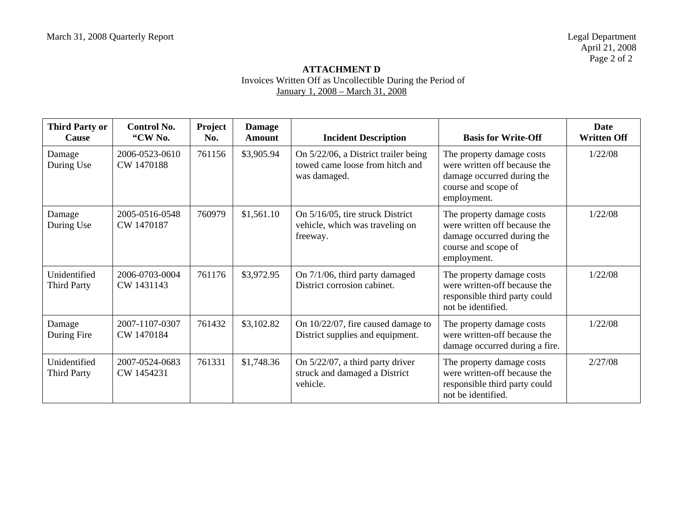# **ATTACHMENT D**  Invoices Written Off as Uncollectible During the Period of January 1, 2008 – March 31, 2008

| <b>Third Party or</b><br>Cause     | <b>Control No.</b><br>"CW No. | Project<br>No. | <b>Damage</b><br><b>Amount</b> | <b>Incident Description</b>                                                             | <b>Basis for Write-Off</b>                                                                                                    | Date<br><b>Written Off</b> |
|------------------------------------|-------------------------------|----------------|--------------------------------|-----------------------------------------------------------------------------------------|-------------------------------------------------------------------------------------------------------------------------------|----------------------------|
| Damage<br>During Use               | 2006-0523-0610<br>CW 1470188  | 761156         | \$3,905.94                     | On 5/22/06, a District trailer being<br>towed came loose from hitch and<br>was damaged. | The property damage costs<br>were written off because the<br>damage occurred during the<br>course and scope of<br>employment. | 1/22/08                    |
| Damage<br>During Use               | 2005-0516-0548<br>CW 1470187  | 760979         | \$1,561.10                     | On 5/16/05, tire struck District<br>vehicle, which was traveling on<br>freeway.         | The property damage costs<br>were written off because the<br>damage occurred during the<br>course and scope of<br>employment. | 1/22/08                    |
| Unidentified<br><b>Third Party</b> | 2006-0703-0004<br>CW 1431143  | 761176         | \$3,972.95                     | On 7/1/06, third party damaged<br>District corrosion cabinet.                           | The property damage costs<br>were written-off because the<br>responsible third party could<br>not be identified.              | 1/22/08                    |
| Damage<br>During Fire              | 2007-1107-0307<br>CW 1470184  | 761432         | \$3,102.82                     | On 10/22/07, fire caused damage to<br>District supplies and equipment.                  | The property damage costs<br>were written-off because the<br>damage occurred during a fire.                                   | 1/22/08                    |
| Unidentified<br><b>Third Party</b> | 2007-0524-0683<br>CW 1454231  | 761331         | \$1,748.36                     | On $5/22/07$ , a third party driver<br>struck and damaged a District<br>vehicle.        | The property damage costs<br>were written-off because the<br>responsible third party could<br>not be identified.              | 2/27/08                    |